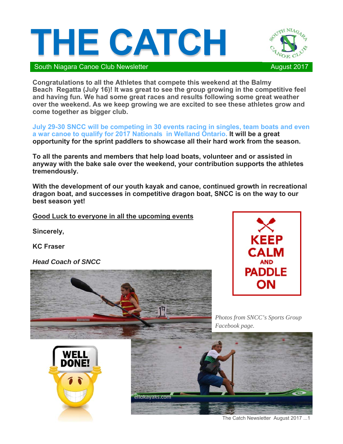



South Niagara Canoe Club Newsletter August 2017

**Congratulations to all the Athletes that compete this weekend at the Balmy Beach Regatta (July 16)! It was great to see the group growing in the competitive feel and having fun. We had some great races and results following some great weather over the weekend. As we keep growing we are excited to see these athletes grow and come together as bigger club.**

**July 29-30 SNCC will be competing in 30 events racing in singles, team boats and even a war canoe to qualify for 2017 Nationals in Welland Ontario. It will be a great opportunity for the sprint paddlers to showcase all their hard work from the season.** 

**To all the parents and members that help load boats, volunteer and or assisted in anyway with the bake sale over the weekend, your contribution supports the athletes tremendously.** 

**With the development of our youth kayak and canoe, continued growth in recreational dragon boat, and successes in competitive dragon boat, SNCC is on the way to our best season yet!** 

**Good Luck to everyone in all the upcoming events** 

**Sincerely,** 

**KC Fraser** 

*Head Coach of SNCC*







*Photos from SNCC's Sports Group Facebook page.* 



The Catch Newsletter August 2017 ...1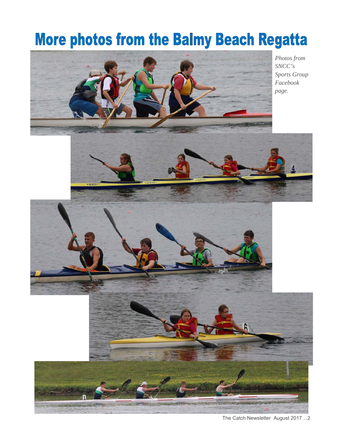### **More photos from the Balmy Beach Regatta**



The Catch Newsletter August 2017 ...2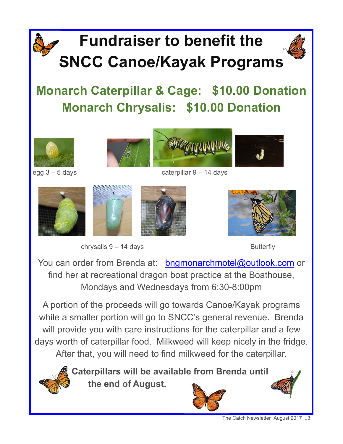## **Fundraiser to benefit the SNCC Canoe/Kayak Programs**





egg 3 – 5 days caterpillar 9 – 14 days









You can order from Brenda at: bngmonarchmotel@outlook.com or find her at recreational dragon boat practice at the Boathouse, Mondays and Wednesdays from 6:30-8:00pm

A portion of the proceeds will go towards Canoe/Kayak programs while a smaller portion will go to SNCC's general revenue. Brenda will provide you with care instructions for the caterpillar and a few days worth of caterpillar food. Milkweed will keep nicely in the fridge. After that, you will need to find milkweed for the caterpillar.



**Caterpillars will be available from Brenda until the end of August.** 



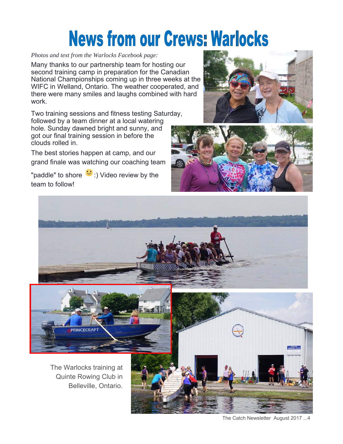# **News from our Crews: Warlocks**

#### *Photos and text from the Warlocks Facebook page:*

Many thanks to our partnership team for hosting our second training camp in preparation for the Canadian National Championships coming up in three weeks at the WIFC in Welland, Ontario. The weather cooperated, and there were many smiles and laughs combined with hard work.

Two training sessions and fitness testing Saturday, followed by a team dinner at a local watering hole. Sunday dawned bright and sunny, and got our final training session in before the clouds rolled in.

The best stories happen at camp, and our grand finale was watching our coaching team

"paddle" to shore  $\ddot{ }$  :) Video review by the team to follow!







The Catch Newsletter August 2017 ...4